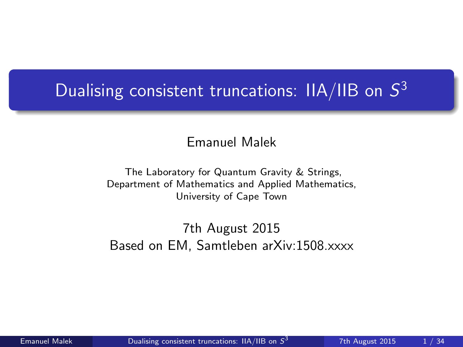# <span id="page-0-0"></span>Dualising consistent truncations: IIA/IIB on  $S^3$

Emanuel Malek

The Laboratory for Quantum Gravity & Strings, Department of Mathematics and Applied Mathematics, University of Cape Town

7th August 2015 Based on EM, Samtleben arXiv:1508.xxxx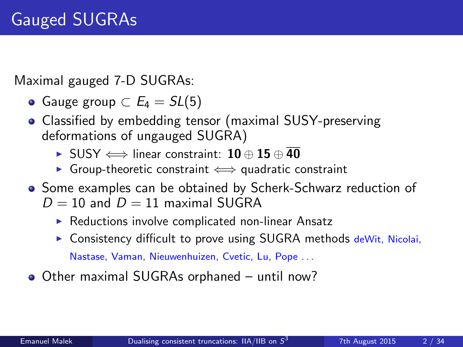Maximal gauged 7-D SUGRAs:

- Gauge group  $\subset E_4 = SL(5)$
- Classified by embedding tensor (maximal SUSY-preserving deformations of ungauged SUGRA)
	- $\triangleright$  SUSY  $\Longleftrightarrow$  linear constraint: 10 ⊕ 15 ⊕ 40
	- $\triangleright$  Group-theoretic constraint  $\Longleftrightarrow$  quadratic constraint
- Some examples can be obtained by Scherk-Schwarz reduction of  $D = 10$  and  $D = 11$  maximal SUGRA
	- $\triangleright$  Reductions involve complicated non-linear Ansatz
	- $\triangleright$  Consistency difficult to prove using SUGRA methods deWit, Nicolai, Nastase, Vaman, Nieuwenhuizen, Cvetic, Lu, Pope . . .
- Other maximal SUGRAs orphaned until now?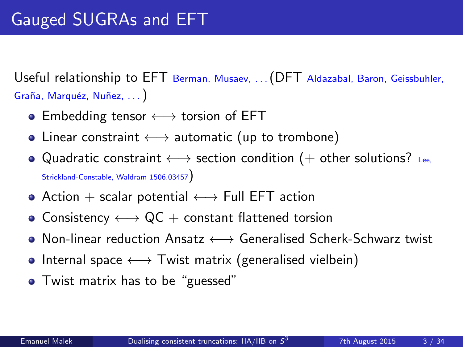Useful relationship to EFT Berman, Musaev, ... (DFT Aldazabal, Baron, Geissbuhler, Graña, Marquéz, Nuñez, ...)

- Embedding tensor  $\longleftrightarrow$  torsion of EFT
- Linear constraint  $\longleftrightarrow$  automatic (up to trombone)
- Quadratic constraint  $\longleftrightarrow$  section condition (+ other solutions? Lee, Strickland-Constable, Waldram 1506.03457)
- Action  $+$  scalar potential  $\longleftrightarrow$  Full EFT action
- Consistency  $\longleftrightarrow$  QC + constant flattened torsion
- Non-linear reduction Ansatz ←→ Generalised Scherk-Schwarz twist
- Internal space  $\longleftrightarrow$  Twist matrix (generalised vielbein)
- Twist matrix has to be "guessed"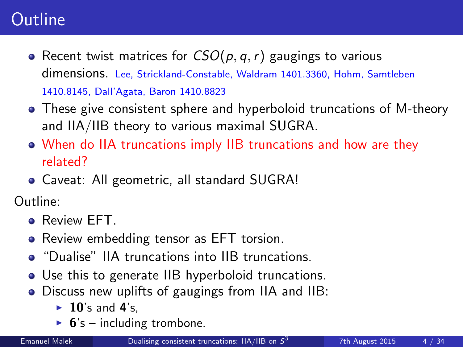### **Outline**

- Recent twist matrices for  $CSO(p, q, r)$  gaugings to various dimensions. Lee, Strickland-Constable, Waldram 1401.3360, Hohm, Samtleben 1410.8145, Dall'Agata, Baron 1410.8823
- These give consistent sphere and hyperboloid truncations of M-theory and IIA/IIB theory to various maximal SUGRA.
- When do IIA truncations imply IIB truncations and how are they related?
- Caveat: All geometric, all standard SUGRA!

Outline:

- **Review EFT.**
- Review embedding tensor as EFT torsion.
- **•** "Dualise" IIA truncations into IIB truncations.
- Use this to generate IIB hyperboloid truncations.
- Discuss new uplifts of gaugings from IIA and IIB:
	- $\blacktriangleright$  10's and 4's.
	- $\triangleright$  6's including trombone.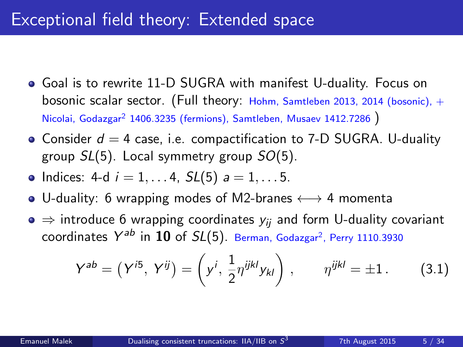#### Exceptional field theory: Extended space

- Goal is to rewrite 11-D SUGRA with manifest U-duality. Focus on bosonic scalar sector. (Full theory: Hohm, Samtleben 2013, 2014 (bosonic), + Nicolai, Godazgar<sup>2</sup> 1406.3235 (fermions), Samtleben, Musaev 1412.7286 )
- Consider  $d = 4$  case, i.e. compactification to 7-D SUGRA. U-duality group  $SL(5)$ . Local symmetry group  $SO(5)$ .
- Indices: 4-d  $i = 1, ..., 4$ ,  $SL(5)$   $a = 1, ..., 5$ .
- U-duality: 6 wrapping modes of M2-branes  $\longleftrightarrow$  4 momenta
- $\bullet \Rightarrow$  introduce 6 wrapping coordinates  $y_{ii}$  and form U-duality covariant coordinates  $Y^{ab}$  in  ${\bf 10}$  of  $SL(5)$ . Berman, Godazgar<sup>2</sup>, Perry 1110.3930

$$
Y^{ab} = (Y^{i5}, Y^{ij}) = \left(y^i, \frac{1}{2} \eta^{ijkl} y_{kl}\right), \qquad \eta^{ijkl} = \pm 1. \tag{3.1}
$$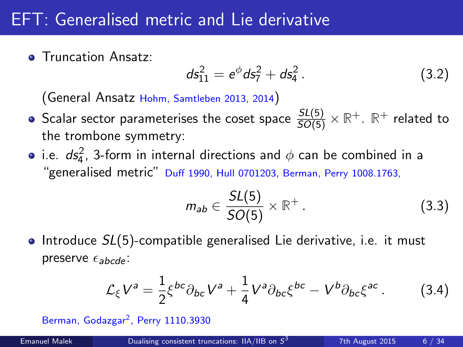#### EFT: Generalised metric and Lie derivative

**• Truncation Ansatz:** 

$$
ds_{11}^2 = e^{\phi} ds_7^2 + ds_4^2. \qquad (3.2)
$$

(General Ansatz Hohm, Samtleben 2013, 2014)

- Scalar sector parameterises the coset space  $\frac{SL(5)}{SO(5)}\times\mathbb{R}^+$ .  $\mathbb{R}^+$  related to the trombone symmetry:
- i.e.  $ds_4^2$ , 3-form in internal directions and  $\phi$  can be combined in a "generalised metric" Duff 1990, Hull 0701203, Berman, Perry 1008.1763,

$$
m_{ab} \in \frac{SL(5)}{SO(5)} \times \mathbb{R}^+ \,. \tag{3.3}
$$

• Introduce  $SL(5)$ -compatible generalised Lie derivative, i.e. it must preserve  $\epsilon_{abcde}$ :

$$
\mathcal{L}_{\xi}V^{a} = \frac{1}{2}\xi^{bc}\partial_{bc}V^{a} + \frac{1}{4}V^{a}\partial_{bc}\xi^{bc} - V^{b}\partial_{bc}\xi^{ac}.
$$
 (3.4)

Berman, Godazgar<sup>2</sup>, Perry 1110.3930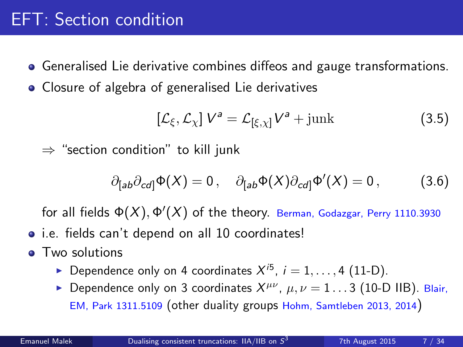### EFT: Section condition

- Generalised Lie derivative combines diffeos and gauge transformations.
- Closure of algebra of generalised Lie derivatives

$$
\left[\mathcal{L}_{\xi}, \mathcal{L}_{\chi}\right] V^{a} = \mathcal{L}_{\left[\xi, \chi\right]} V^{a} + \text{junk} \tag{3.5}
$$

 $\Rightarrow$  "section condition" to kill junk

$$
\partial_{[ab}\partial_{cd]}\Phi(X) = 0\,, \quad \partial_{[ab}\Phi(X)\partial_{cd]}\Phi'(X) = 0\,, \tag{3.6}
$$

for all fields  $\Phi(X), \Phi'(X)$  of the theory. Berman, Godazgar, Perry 1110.3930

- i.e. fields can't depend on all 10 coordinates!
- Two solutions
	- ▶ Dependence only on 4 coordinates  $X^{i5}$ ,  $i = 1, ..., 4$  (11-D).
	- **Dependence only on 3 coordinates**  $X^{\mu\nu}$ **,**  $\mu, \nu = 1...3$  **(10-D IIB). Blair,** EM, Park 1311.5109 (other duality groups Hohm, Samtleben 2013, 2014)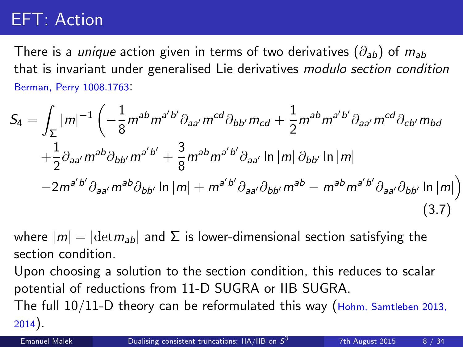### EFT: Action

There is a *unique* action given in terms of two derivatives  $(\partial_{ab})$  of  $m_{ab}$ that is invariant under generalised Lie derivatives modulo section condition Berman, Perry 1008.1763:

$$
S_{4} = \int_{\Sigma} |m|^{-1} \left( -\frac{1}{8} m^{ab} m^{a'b'} \partial_{aa'} m^{cd} \partial_{bb'} m_{cd} + \frac{1}{2} m^{ab} m^{a'b'} \partial_{aa'} m^{cd} \partial_{cb'} m_{bd} \right. \\
\left. + \frac{1}{2} \partial_{aa'} m^{ab} \partial_{bb'} m^{a'b'} + \frac{3}{8} m^{ab} m^{a'b'} \partial_{aa'} \ln |m| \partial_{bb'} \ln |m| \right. \\
\left. - 2 m^{a'b'} \partial_{aa'} m^{ab} \partial_{bb'} \ln |m| + m^{a'b'} \partial_{aa'} \partial_{bb'} m^{ab} - m^{ab} m^{a'b'} \partial_{aa'} \partial_{bb'} \ln |m| \right)
$$
\n(3.7)

where  $|m| = |\text{det} m_{ab}|$  and  $\Sigma$  is lower-dimensional section satisfying the section condition.

Upon choosing a solution to the section condition, this reduces to scalar potential of reductions from 11-D SUGRA or IIB SUGRA.

The full  $10/11$ -D theory can be reformulated this way (Hohm, Samtleben 2013, 2014).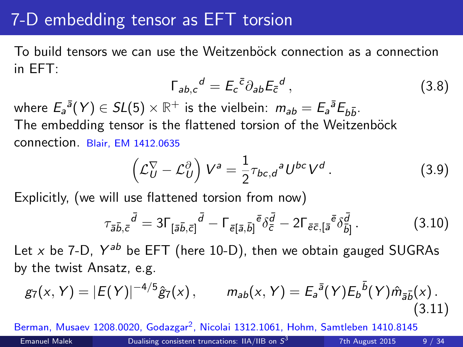#### 7-D embedding tensor as EFT torsion

To build tensors we can use the Weitzenböck connection as a connection in EFT:

$$
\Gamma_{ab,c}{}^d = E_c{}^{\bar{c}} \partial_{ab} E_{\bar{c}}{}^d \,, \tag{3.8}
$$

where  $E_a{}^{\bar{a}}(Y) \in SL(5) \times \mathbb{R}^+$  is the vielbein:  $m_{ab} = E_a{}^{\bar{a}}E_{b\bar{b}}$ . The embedding tensor is the flattened torsion of the Weitzenböck connection. Blair, EM 1412.0635

$$
\left(\mathcal{L}_U^{\nabla} - \mathcal{L}_U^{\partial}\right) V^a = \frac{1}{2} \tau_{bc,d}{}^a U^{bc} V^d.
$$
 (3.9)

Explicitly, (we will use flattened torsion from now)

$$
\tau_{\bar{a}\bar{b},\bar{c}}{}^{\bar{d}} = 3\Gamma_{\left[\bar{a}\bar{b},\bar{c}\right]}{}^{\bar{d}} - \Gamma_{\bar{e}\left[\bar{a},\bar{b}\right]}{}^{\bar{e}}\delta_{\bar{c}}{}^{\bar{d}} - 2\Gamma_{\bar{e}\bar{c},\left[\bar{a}\right]}{}^{\bar{e}}\delta_{\bar{b}\left.\bar{b}\right]}^{d}.
$$
\n(3.10)

Let x be 7-D,  $Y^{ab}$  be EFT (here 10-D), then we obtain gauged SUGRAs by the twist Ansatz, e.g.

$$
g_7(x, Y) = |E(Y)|^{-4/5} \hat{g}_7(x), \qquad m_{ab}(x, Y) = E_a^{\bar{a}}(Y) E_b^{\bar{b}}(Y) \hat{m}_{\bar{a}\bar{b}}(x).
$$
\n(3.11)

Berman, Musaev 1208.0020, Godazgar<sup>2</sup>, Nicolai 1312.1061, Hohm, Samtleben 1410.8145 Emanuel Malek  $\qquad \qquad$  [Dualising consistent truncations: IIA/IIB on](#page-0-0)  $S^3$ 7th August 2015 9 / 34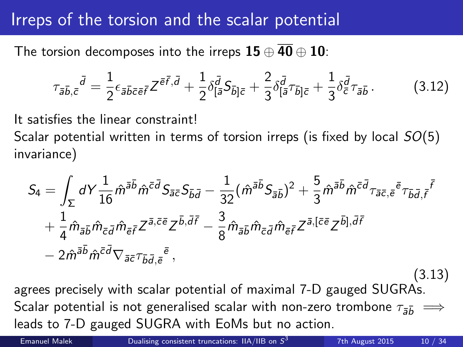#### Irreps of the torsion and the scalar potential

The torsion decomposes into the irreps  $15 \oplus 40 \oplus 10$ :

$$
\tau_{\bar{a}\bar{b},\bar{c}}{}^{\bar{d}} = \frac{1}{2} \epsilon_{\bar{a}\bar{b}\bar{c}\bar{e}\bar{f}} Z^{\bar{e}\bar{f},\bar{d}} + \frac{1}{2} \delta_{\bar{[a}}^{\bar{d}} S_{\bar{b}]\bar{c}} + \frac{2}{3} \delta_{\bar{[a}}^{\bar{d}} \tau_{\bar{b}]\bar{c}} + \frac{1}{3} \delta_{\bar{c}}^{\bar{d}} \tau_{\bar{a}\bar{b}}.
$$
(3.12)

It satisfies the linear constraint!

Scalar potential written in terms of torsion irreps (is fixed by local  $SO(5)$ ) invariance)

$$
S_4 = \int_{\Sigma} dY \frac{1}{16} \hat{m}^{\bar{a}\bar{b}} \hat{m}^{\bar{c}\bar{d}} S_{\bar{a}\bar{c}} S_{\bar{b}\bar{d}} - \frac{1}{32} (\hat{m}^{\bar{a}\bar{b}} S_{\bar{a}\bar{b}})^2 + \frac{5}{3} \hat{m}^{\bar{a}\bar{b}} \hat{m}^{\bar{c}\bar{d}} \tau_{\bar{a}\bar{c},\bar{e}} \bar{e} \tau_{\bar{b}\bar{d},\bar{f}} \bar{f} + \frac{1}{4} \hat{m}_{\bar{a}\bar{b}} \hat{m}_{\bar{c}\bar{d}} \hat{m}_{\bar{e}\bar{f}} Z^{\bar{a},\bar{c}\bar{e}} Z^{\bar{b},\bar{d}\bar{f}} - \frac{3}{8} \hat{m}_{\bar{a}\bar{b}} \hat{m}_{\bar{c}\bar{d}} \hat{m}_{\bar{e}\bar{f}} Z^{\bar{a},[\bar{c}\bar{e}} Z^{\bar{b}],\bar{d}\bar{f}} - 2 \hat{m}^{\bar{a}\bar{b}} \hat{m}^{\bar{c}\bar{d}} \nabla_{\bar{a}\bar{c}} \tau_{\bar{b}\bar{d},\bar{e}} \bar{e}^{\bar{e}},
$$
\n(3.13)

agrees precisely with scalar potential of maximal 7-D gauged SUGRAs. Scalar potential is not generalised scalar with non-zero trombone  $\tau_{\bar{a}\bar{b}} \implies$ leads to 7-D gauged SUGRA with EoMs but no action.

Emanuel Malek  $\qquad \qquad$  [Dualising consistent truncations: IIA/IIB on](#page-0-0)  $S^3$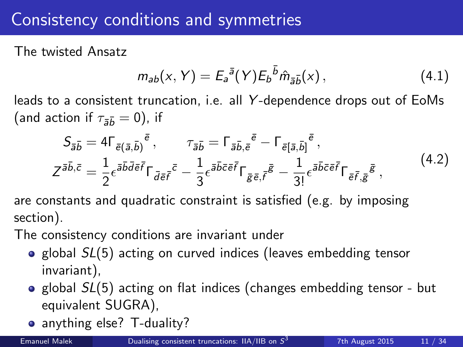#### Consistency conditions and symmetries

The twisted Ansatz

$$
m_{ab}(x, Y) = E_a^{\bar{a}}(Y) E_b^{\bar{b}} \hat{m}_{\bar{a}\bar{b}}(x), \qquad (4.1)
$$

leads to a consistent truncation, i.e. all Y -dependence drops out of EoMs (and action if  $\tau_{\overline{55}} = 0$ ), if

$$
S_{\bar{a}\bar{b}} = 4\Gamma_{\bar{e}(\bar{a},\bar{b})}{}^{\bar{e}}, \qquad \tau_{\bar{a}\bar{b}} = \Gamma_{\bar{a}\bar{b},\bar{e}}{}^{\bar{e}} - \Gamma_{\bar{e}(\bar{a},\bar{b})}{}^{\bar{e}},
$$
  

$$
Z^{\bar{a}\bar{b},\bar{c}} = \frac{1}{2} \epsilon^{\bar{a}\bar{b}\bar{d}\bar{e}\bar{f}} \Gamma_{\bar{d}\bar{e}\bar{f}}{}^{\bar{c}} - \frac{1}{3} \epsilon^{\bar{a}\bar{b}\bar{c}\bar{e}\bar{f}} \Gamma_{\bar{g}\bar{e},\bar{f}}{}^{\bar{g}} - \frac{1}{3!} \epsilon^{\bar{a}\bar{b}\bar{c}\bar{e}\bar{f}} \Gamma_{\bar{e}\bar{f},\bar{g}}{}^{\bar{g}},
$$
(4.2)

are constants and quadratic constraint is satisfied (e.g. by imposing section).

The consistency conditions are invariant under

- global  $SL(5)$  acting on curved indices (leaves embedding tensor invariant),
- global  $SL(5)$  acting on flat indices (changes embedding tensor but equivalent SUGRA),
- anything else? T-duality?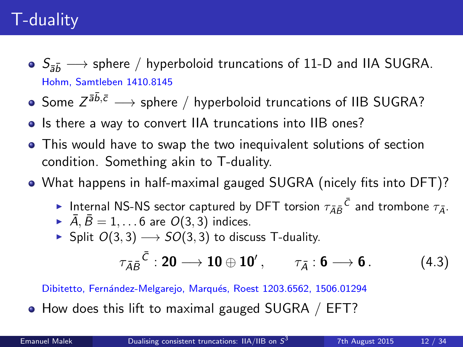# T-duality

- $\bullet$   $S_{\bar{2}h} \longrightarrow$  sphere / hyperboloid truncations of 11-D and IIA SUGRA. Hohm, Samtleben 1410.8145
- Some  $Z^{\bar{a}\bar{b},\bar{c}} \longrightarrow$  sphere  $/$  hyperboloid truncations of IIB SUGRA?
- Is there a way to convert IIA truncations into IIB ones?
- This would have to swap the two inequivalent solutions of section condition. Something akin to T-duality.
- What happens in half-maximal gauged SUGRA (nicely fits into DFT)?
	- Internal NS-NS sector captured by DFT torsion  $\tau_{\bar{A}\bar{B}}\bar{C}$  and trombone  $\tau_{\bar{A}}$ .
	- $\overline{A}$ ,  $\overline{B} = 1, \ldots 6$  are  $O(3, 3)$  indices.
	- ► Split  $O(3, 3) \rightarrow SO(3, 3)$  to discuss T-duality.

$$
\tau_{\bar{A}\bar{B}}{}^{\bar{C}}: \mathbf{20}\longrightarrow \mathbf{10}\oplus \mathbf{10}'\,,\qquad \tau_{\bar{A}}:\mathbf{6}\longrightarrow \mathbf{6}\,.
$$
 (4.3)

Dibitetto, Fernández-Melgarejo, Marqués, Roest 1203.6562, 1506.01294

• How does this lift to maximal gauged SUGRA / EFT?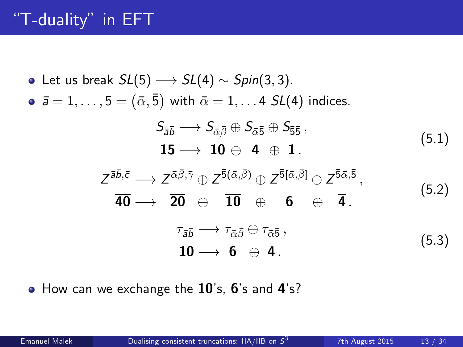# "T-duality" in EFT

\n- \n**6** Let us break 
$$
SL(5) \longrightarrow SL(4) \sim Spin(3,3)
$$
.\n
\n- \n**7**  $\bar{a} = 1, \ldots, 5 = (\bar{\alpha}, \bar{5})$  with  $\bar{\alpha} = 1, \ldots, 4$   $SL(4)$  indices.\n  $S_{\bar{a}\bar{b}} \longrightarrow S_{\bar{\alpha}\bar{\beta}} \oplus S_{\bar{\alpha}\bar{5}} \oplus S_{\bar{5}\bar{5}}$ ,\n  $15 \longrightarrow 10 \oplus 4 \oplus 1$ .\n
\n- \n**7**  $\bar{a}, \bar{b}, \bar{c} \longrightarrow Z^{\bar{\alpha}\bar{\beta}, \bar{\gamma}} \oplus Z^{\bar{5}(\bar{\alpha}, \bar{\beta})} \oplus Z^{\bar{5}[\bar{\alpha}, \bar{\beta}]} \oplus Z^{\bar{5}\bar{\alpha}, \bar{5}}$ ,\n  $\bar{40} \longrightarrow 20 \oplus 10 \oplus 6 \oplus 4$ .\n
\n- \n**8**  $\tau_{\bar{a}\bar{b}} \longrightarrow \tau_{\bar{\alpha}\bar{\beta}} \oplus \tau_{\bar{\alpha}\bar{5}}$ ,\n  $10 \longrightarrow 6 \oplus 4$ .\n
\n

• How can we exchange the 10's, 6's and 4's?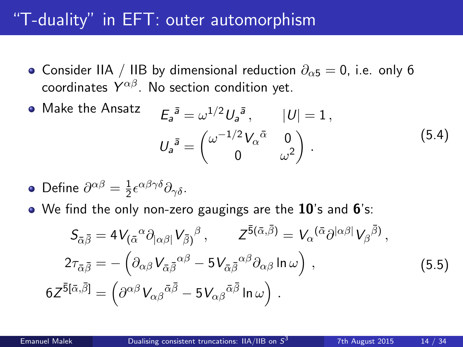#### "T-duality" in EFT: outer automorphism

- Consider IIA / IIB by dimensional reduction  $\partial_{\alpha}5 = 0$ , i.e. only 6 coordinates  $Y^{\alpha\beta}$ . No section condition yet.
- $\bullet$  Make the Ansatz  $\bar{a} = \omega^{1/2} U_a^{\bar{a}}, \qquad |U| = 1,$  $U_a^{\bar{a}} = \begin{pmatrix} \omega^{-1/2} V_{\alpha}^{\bar{\alpha}} & 0 \ 0 & \omega^2 \end{pmatrix}$ 0  $\omega^2$  $\big)$  . (5.4)
- Define  $\partial^{\alpha\beta} = \frac{1}{2}$  $\frac{1}{2} \epsilon^{\alpha\beta\gamma\delta} \partial_{\gamma\delta}$ .
- $\bullet$  We find the only non-zero gaugings are the  $10$ 's and  $6$ 's:

$$
S_{\bar{\alpha}\bar{\beta}} = 4V_{(\bar{\alpha}}{}^{\alpha}\partial_{|\alpha\beta|}V_{\bar{\beta}}{}^{\beta}, \qquad Z^{\bar{5}(\bar{\alpha},\bar{\beta})} = V_{\alpha}{}^{(\bar{\alpha}}\partial^{|\alpha\beta|}V_{\beta}{}^{\bar{\beta}}),
$$
  
\n
$$
2\tau_{\bar{\alpha}\bar{\beta}} = -(\partial_{\alpha\beta}V_{\bar{\alpha}\bar{\beta}}{}^{\alpha\beta} - 5V_{\bar{\alpha}\bar{\beta}}{}^{\alpha\beta}\partial_{\alpha\beta}\ln\omega),
$$
  
\n
$$
6Z^{\bar{5}[\bar{\alpha},\bar{\beta}]} = (\partial^{\alpha\beta}V_{\alpha\beta}{}^{\bar{\alpha}\bar{\beta}} - 5V_{\alpha\beta}{}^{\bar{\alpha}\bar{\beta}}\ln\omega).
$$
\n(5.5)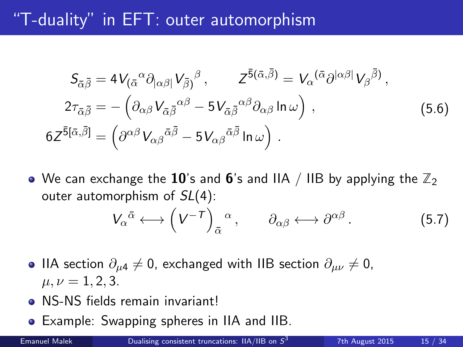#### "T-duality" in EFT: outer automorphism

$$
S_{\bar{\alpha}\bar{\beta}} = 4V_{(\bar{\alpha}}{}^{\alpha}\partial_{|\alpha\beta|}V_{\bar{\beta}}{}^{\beta}, \qquad Z^{\bar{5}(\bar{\alpha},\bar{\beta})} = V_{\alpha}{}^{(\bar{\alpha}}\partial^{|\alpha\beta|}V_{\beta}{}^{\bar{\beta}}),
$$
  
\n
$$
2\tau_{\bar{\alpha}\bar{\beta}} = -(\partial_{\alpha\beta}V_{\bar{\alpha}\bar{\beta}}{}^{\alpha\beta} - 5V_{\bar{\alpha}\bar{\beta}}{}^{\alpha\beta}\partial_{\alpha\beta}\ln\omega),
$$
  
\n
$$
6Z^{\bar{5}[\bar{\alpha},\bar{\beta}]} = (\partial^{\alpha\beta}V_{\alpha\beta}{}^{\bar{\alpha}\bar{\beta}} - 5V_{\alpha\beta}{}^{\bar{\alpha}\bar{\beta}}\ln\omega).
$$
\n(5.6)

 $\bullet$  We can exchange the 10's and 6's and IIA / IIB by applying the  $\mathbb{Z}_2$ outer automorphism of  $SL(4)$ :

$$
V_{\alpha}{}^{\bar{\alpha}} \longleftrightarrow \left(V^{-T}\right)_{\bar{\alpha}}{}^{\alpha}, \qquad \partial_{\alpha\beta} \longleftrightarrow \partial^{\alpha\beta}.
$$
 (5.7)

- IIA section  $\partial_{\mu}^4 \neq 0$ , exchanged with IIB section  $\partial_{\mu\nu}^2 \neq 0$ ,  $\mu, \nu = 1, 2, 3.$
- NS-NS fields remain invariant!
- Example: Swapping spheres in IIA and IIB.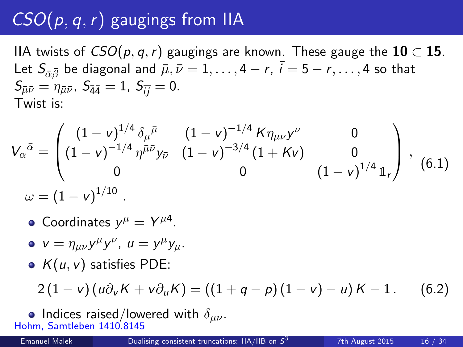# $CSO(p, q, r)$  gaugings from IIA

IIA twists of  $CSO(p,q,r)$  gaugings are known. These gauge the  $10 \subset 15$ . Let  $S_{\overline{\alpha} \overline{\beta}}$  be diagonal and  $\overline{\mu}, \overline{\nu} = 1, \ldots, 4 - r$ ,  $\overline{i} = 5 - r, \ldots, 4$  so that  $S_{\bar{\mu}\bar{\nu}} = \eta_{\bar{\mu}\bar{\nu}}$ ,  $S_{\bar{4}\bar{4}} = 1$ ,  $S_{\bar{i}\bar{j}} = 0$ . Twist is:

$$
V_{\alpha}{}^{\bar{\alpha}} = \begin{pmatrix} (1 - v)^{1/4} \delta_{\mu}{}^{\bar{\mu}} & (1 - v)^{-1/4} K \eta_{\mu\nu} y^{\nu} & 0 \\ (1 - v)^{-1/4} \eta^{\bar{\mu}\bar{\nu}} y_{\bar{\nu}} & (1 - v)^{-3/4} (1 + Kv) & 0 \\ 0 & 0 & (1 - v)^{1/4} \mathbb{1}_r \end{pmatrix}, \quad (6.1)
$$
  

$$
\omega = (1 - v)^{1/10}.
$$

- Coordinates  $y^{\mu} = Y^{\mu 4}$ .
- $v = \eta_{\mu\nu} y^{\mu} y^{\nu}$ ,  $u = y^{\mu} y_{\mu}$ .
- $K(u, v)$  satisfies PDE:

$$
2(1-v)(u\partial_v K + v\partial_u K) = ((1+q-p)(1-v)-u)K - 1. \quad (6.2)
$$

• Indices raised/lowered with  $\delta_{\mu\nu}$ . Hohm, Samtleben 1410.8145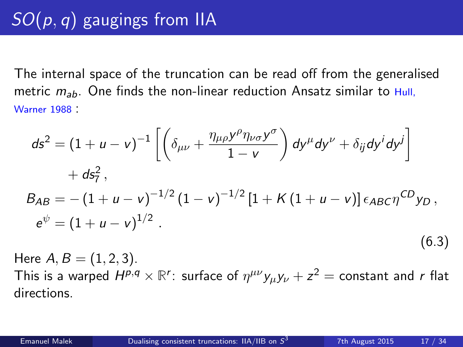The internal space of the truncation can be read off from the generalised metric  $m_{ab}$ . One finds the non-linear reduction Ansatz similar to Hull, Warner 1988 :

$$
ds^{2} = (1 + u - v)^{-1} \left[ \left( \delta_{\mu\nu} + \frac{\eta_{\mu\rho} y^{\rho} \eta_{\nu\sigma} y^{\sigma}}{1 - v} \right) dy^{\mu} dy^{\nu} + \delta_{ij} dy^{i} dy^{j} \right] + ds_{7}^{2},
$$
  
\n
$$
B_{AB} = -(1 + u - v)^{-1/2} (1 - v)^{-1/2} [1 + K (1 + u - v)] \epsilon_{ABC} \eta^{CD} y_{D},
$$
  
\n
$$
e^{\psi} = (1 + u - v)^{1/2}.
$$
  
\n(6.3)

Here  $A, B = (1, 2, 3)$ . This is a warped  $H^{p,q}\times \mathbb{R}^r$ : surface of  $\eta^{\mu\nu}y_\mu y_\nu+z^2=$  constant and  $r$  flat directions.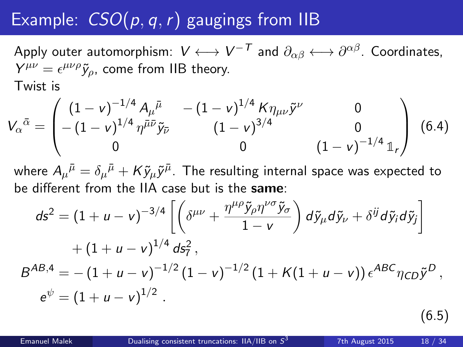# Example:  $CSO(p, q, r)$  gaugings from IIB

Apply outer automorphism:  $\mathsf{V}\longleftrightarrow \mathsf{V}^{-\mathsf{T}}$  and  $\partial_{\alpha\beta}\longleftrightarrow \partial^{\alpha\beta}.$  Coordinates,  $Y^{\mu\nu} = \epsilon^{\mu\nu\rho} \tilde{y}_\rho$ , come from IIB theory. Twist is

$$
V_{\alpha}{}^{\bar{\alpha}} = \begin{pmatrix} (1 - v)^{-1/4} A_{\mu}{}^{\bar{\mu}} & -(1 - v)^{1/4} K \eta_{\mu\nu} \tilde{y}^{\nu} & 0 \\ -(1 - v)^{1/4} \eta^{\bar{\mu}\bar{\nu}} \tilde{y}_{\bar{\nu}} & (1 - v)^{3/4} & 0 \\ 0 & 0 & (1 - v)^{-1/4} \mathbb{1}_{r} \end{pmatrix} (6.4)
$$

where  $A_\mu{}^{\bar \mu}=\delta_\mu{}^{\bar \mu}+K\tilde y_\mu\tilde y^{\bar \mu}.$  The resulting internal space was expected to be different from the IIA case but is the same:

$$
ds^{2} = (1 + u - v)^{-3/4} \left[ \left( \delta^{\mu\nu} + \frac{\eta^{\mu\rho} \tilde{y}_{\rho} \eta^{\nu\sigma} \tilde{y}_{\sigma}}{1 - v} \right) d\tilde{y}_{\mu} d\tilde{y}_{\nu} + \delta^{ij} d\tilde{y}_{i} d\tilde{y}_{j} \right] + (1 + u - v)^{1/4} ds_{7}^{2},
$$
  

$$
B^{AB,4} = -(1 + u - v)^{-1/2} (1 - v)^{-1/2} (1 + K(1 + u - v)) \epsilon^{ABC} \eta_{CD} \tilde{y}^{D},
$$

$$
e^{\psi} = (1 + u - v)^{1/2}.
$$

(6.5)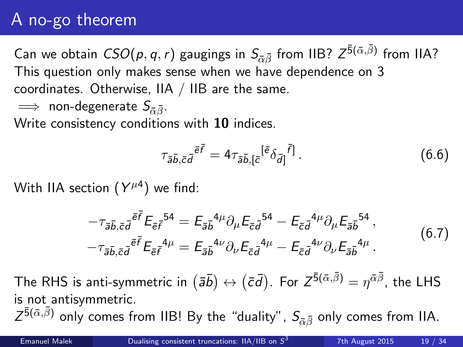### A no-go theorem

Can we obtain  $\mathit{CSO}(p,q,r)$  gaugings in  $S_{\bar{\alpha}\bar{\beta}}$  from IIB?  $Z^{\bar{\bf 5}(\bar{\alpha},\bar{\beta})}$  from IIA? This question only makes sense when we have dependence on 3 coordinates. Otherwise, IIA / IIB are the same.

$$
\implies \text{ non-degenerate } S_{\bar{\alpha}\bar{\beta}}.
$$

Write consistency conditions with 10 indices.

$$
\tau_{\bar{a}\bar{b},\bar{c}\bar{d}}\bar{e}\bar{f} = 4\tau_{\bar{a}\bar{b},\bar{c}}[\bar{e}^{(\bar{e})}\bar{\delta}_{\bar{d}]}^{\bar{f}]}.
$$
\n(6.6)

With IIA section  $(Y^{\mu 4})$  we find:

$$
-\tau_{\bar{a}\bar{b},\bar{c}\bar{d}}\bar{e}^{\bar{f}}E_{\bar{e}\bar{f}}{}^{54} = E_{\bar{a}\bar{b}}{}^{4\mu}\partial_{\mu}E_{\bar{c}\bar{d}}{}^{54} - E_{\bar{c}\bar{d}}{}^{4\mu}\partial_{\mu}E_{\bar{a}\bar{b}}{}^{54},
$$

$$
-\tau_{\bar{a}\bar{b},\bar{c}\bar{d}}{}^{\bar{e}\bar{f}}E_{\bar{e}\bar{f}}{}^{4\mu} = E_{\bar{a}\bar{b}}{}^{4\nu}\partial_{\nu}E_{\bar{c}\bar{d}}{}^{4\mu} - E_{\bar{c}\bar{d}}{}^{4\nu}\partial_{\nu}E_{\bar{a}\bar{b}}{}^{4\mu}.
$$
(6.7)

The RHS is anti-symmetric in  $(\bar a \bar b)\leftrightarrow (\bar c \bar d)$ . For  $Z^{\bar 5(\bar \alpha, \bar \beta)}=\eta^{\bar \alpha \bar \beta}$ , the LHS is not antisymmetric.  $Z^{\bar{5}(\bar{\alpha},\bar{\beta})}$  only comes from IIB! By the "duality",  $S_{\bar{\alpha}\bar{\beta}}$  only comes from IIA.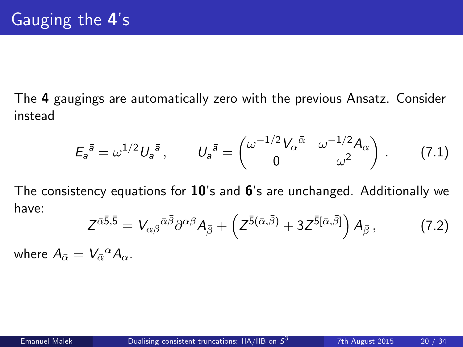The 4 gaugings are automatically zero with the previous Ansatz. Consider instead

$$
E_{a}^{\bar{a}} = \omega^{1/2} U_{a}^{\bar{a}}, \qquad U_{a}^{\bar{a}} = \begin{pmatrix} \omega^{-1/2} V_{\alpha}^{\bar{\alpha}} & \omega^{-1/2} A_{\alpha} \\ 0 & \omega^{2} \end{pmatrix} . \tag{7.1}
$$

The consistency equations for  $10'$ 's and  $6'$ 's are unchanged. Additionally we have:

$$
Z^{\bar{\alpha}\bar{\beta},\bar{5}} = V_{\alpha\beta}{}^{\bar{\alpha}\bar{\beta}}\partial^{\alpha\beta}A_{\bar{\beta}} + \left(Z^{\bar{5}(\bar{\alpha},\bar{\beta})} + 3Z^{\bar{5}[\bar{\alpha},\bar{\beta}]}\right)A_{\bar{\beta}},\tag{7.2}
$$

where  $A_{\bar{\alpha}} = V_{\bar{\alpha}}{}^{\alpha} A_{\alpha}$ .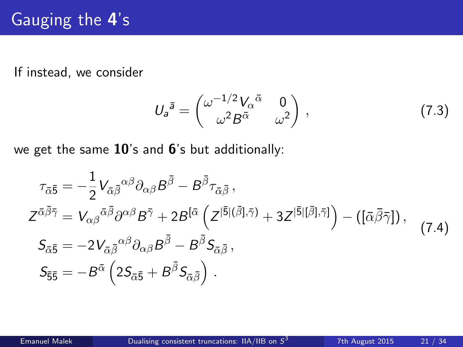If instead, we consider

$$
U_a^{\bar{a}} = \begin{pmatrix} \omega^{-1/2} V_\alpha^{\bar{\alpha}} & 0\\ \omega^2 B^{\bar{\alpha}} & \omega^2 \end{pmatrix}, \tag{7.3}
$$

we get the same 10's and 6's but additionally:

$$
\tau_{\bar{\alpha}\bar{\beta}} = -\frac{1}{2} V_{\bar{\alpha}\bar{\beta}}{}^{\alpha\beta} \partial_{\alpha\beta} B^{\bar{\beta}} - B^{\bar{\beta}} \tau_{\bar{\alpha}\bar{\beta}},
$$
\n
$$
Z^{\bar{\alpha}\bar{\beta}\bar{\gamma}} = V_{\alpha\beta}{}^{\bar{\alpha}\bar{\beta}} \partial^{\alpha\beta} B^{\bar{\gamma}} + 2B^{[\bar{\alpha}} \left( Z^{|\bar{5}|(\bar{\beta}],\bar{\gamma})} + 3Z^{|\bar{5}|[\bar{\beta}],\bar{\gamma}]} \right) - ([\bar{\alpha}\bar{\beta}\bar{\gamma}]),
$$
\n
$$
S_{\bar{\alpha}\bar{\beta}} = -2V_{\bar{\alpha}\bar{\beta}}{}^{\alpha\beta} \partial_{\alpha\beta} B^{\bar{\beta}} - B^{\bar{\beta}} S_{\bar{\alpha}\bar{\beta}},
$$
\n
$$
S_{\bar{5}\bar{5}} = -B^{\bar{\alpha}} \left( 2S_{\bar{\alpha}\bar{5}} + B^{\bar{\beta}} S_{\bar{\alpha}\bar{\beta}} \right).
$$
\n(7.4)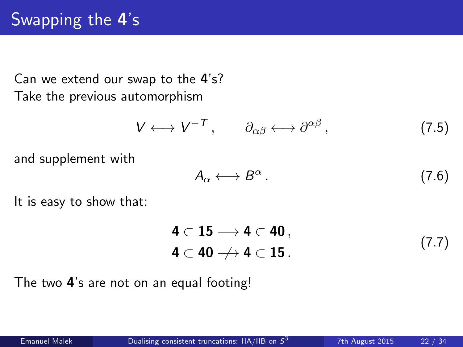# Swapping the 4's

Can we extend our swap to the 4's? Take the previous automorphism

$$
V \longleftrightarrow V^{-T}, \qquad \partial_{\alpha\beta} \longleftrightarrow \partial^{\alpha\beta}, \qquad (7.5)
$$

and supplement with

$$
A_{\alpha} \longleftrightarrow B^{\alpha} \,. \tag{7.6}
$$

It is easy to show that:

$$
4 \subset 15 \longrightarrow 4 \subset 40 ,
$$
  
\n
$$
4 \subset 40 \longrightarrow 4 \subset 15 .
$$
 (7.7)

The two 4's are not on an equal footing!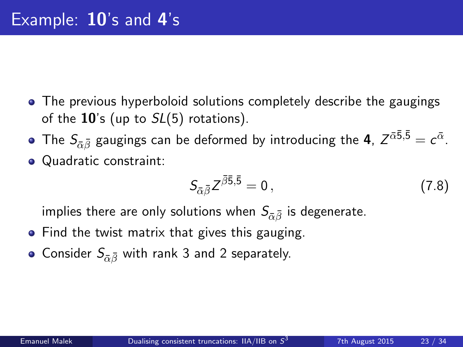- The previous hyperboloid solutions completely describe the gaugings of the  $10$ 's (up to  $SL(5)$  rotations).
- The  $\mathcal{S}_{\bar{\alpha}\bar{\beta}}$  gaugings can be deformed by introducing the **4**,  $Z^{\bar{\alpha} \bar{5},\bar{5}}=c^{\bar{\alpha}}.$ • Quadratic constraint:
	- $S_{\bar{\alpha}\bar{\beta}}Z^{\bar{\beta}\bar{5},\bar{5}} = 0$ , (7.8)

implies there are only solutions when  $S_{\bar{\alpha}\bar{\beta}}$  is degenerate.

- Find the twist matrix that gives this gauging.
- Consider  $S_{\bar{\alpha}\bar{\beta}}$  with rank 3 and 2 separately.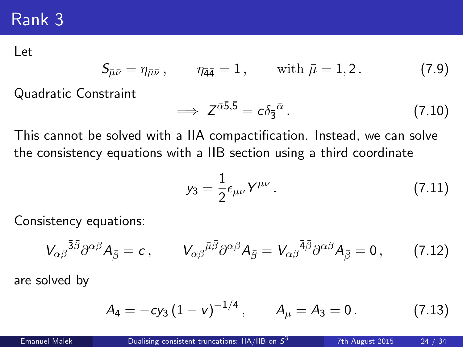#### Rank 3

Let

$$
S_{\bar{\mu}\bar{\nu}} = \eta_{\bar{\mu}\bar{\nu}}, \qquad \eta_{\bar{4}\bar{4}} = 1, \qquad \text{with } \bar{\mu} = 1, 2.
$$
 (7.9)

Quadratic Constraint

$$
\implies Z^{\bar{\alpha}\bar{5},\bar{5}} = c\delta_{\bar{3}}{}^{\bar{\alpha}}.
$$
 (7.10)

This cannot be solved with a IIA compactification. Instead, we can solve the consistency equations with a IIB section using a third coordinate

$$
y_3 = \frac{1}{2} \epsilon_{\mu\nu} Y^{\mu\nu} \,. \tag{7.11}
$$

Consistency equations:

$$
V_{\alpha\beta}^{\ \ \bar{3}\bar{\beta}}\partial^{\alpha\beta}A_{\bar{\beta}}=c\,,\qquad V_{\alpha\beta}^{\ \ \bar{\mu}\bar{\beta}}\partial^{\alpha\beta}A_{\bar{\beta}}=V_{\alpha\beta}^{\ \ \bar{4}\bar{\beta}}\partial^{\alpha\beta}A_{\bar{\beta}}=0\,,\qquad(7.12)
$$

are solved by

$$
A_4 = -cy_3(1 - v)^{-1/4}, \qquad A_\mu = A_3 = 0. \tag{7.13}
$$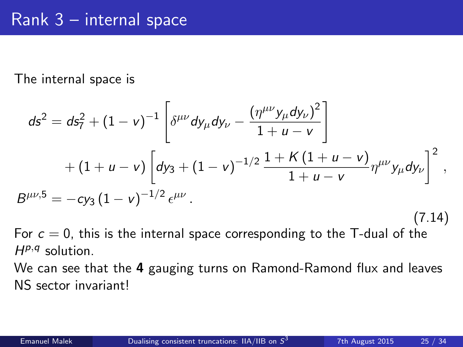The internal space is

$$
ds^{2} = ds_{7}^{2} + (1 - v)^{-1} \left[ \delta^{\mu\nu} dy_{\mu} dy_{\nu} - \frac{(\eta^{\mu\nu} y_{\mu} dy_{\nu})^{2}}{1 + u - v} \right] + (1 + u - v) \left[ dy_{3} + (1 - v)^{-1/2} \frac{1 + K (1 + u - v)}{1 + u - v} \eta^{\mu\nu} y_{\mu} dy_{\nu} \right]^{2},
$$
  
\n
$$
B^{\mu\nu,5} = -cy_{3} (1 - v)^{-1/2} \epsilon^{\mu\nu}.
$$
\n(7.14)

For  $c = 0$ , this is the internal space corresponding to the T-dual of the  $H^{p,q}$  solution.

We can see that the 4 gauging turns on Ramond-Ramond flux and leaves NS sector invariant!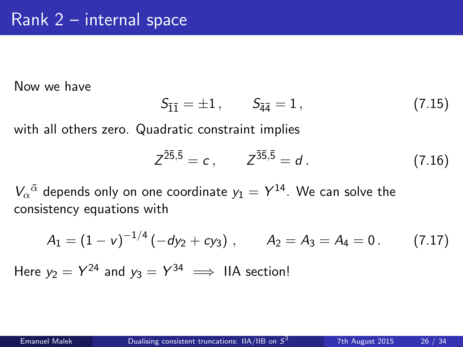Now we have

$$
S_{\bar{1}\bar{1}} = \pm 1, \qquad S_{\bar{4}\bar{4}} = 1, \tag{7.15}
$$

with all others zero. Quadratic constraint implies

$$
Z^{\bar{2}\bar{5},\bar{5}} = c, \qquad Z^{\bar{3}\bar{5},\bar{5}} = d. \tag{7.16}
$$

 $V_\alpha{}^{\bar{\alpha}}$  depends only on one coordinate  $y_1 = Y^{14}$ . We can solve the consistency equations with

$$
A_1 = (1 - v)^{-1/4} (-dy_2 + cy_3), \qquad A_2 = A_3 = A_4 = 0. \qquad (7.17)
$$

Here  $y_2 = Y^{24}$  and  $y_3 = Y^{34} \implies$  IIA section!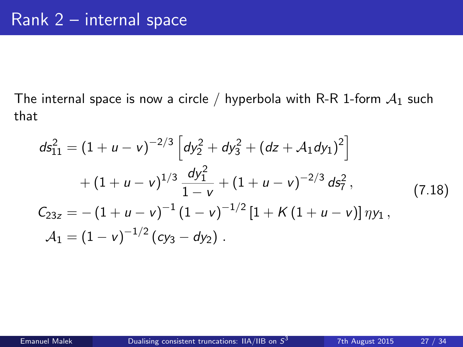The internal space is now a circle / hyperbola with R-R 1-form  $A_1$  such that

$$
ds_{11}^{2} = (1 + u - v)^{-2/3} \left[ dy_{2}^{2} + dy_{3}^{2} + (dz + A_{1}dy_{1})^{2} \right] + (1 + u - v)^{1/3} \frac{dy_{1}^{2}}{1 - v} + (1 + u - v)^{-2/3} ds_{7}^{2},
$$
(7.18)  

$$
C_{23z} = -(1 + u - v)^{-1} (1 - v)^{-1/2} [1 + K (1 + u - v)] \eta y_{1},
$$

$$
A_{1} = (1 - v)^{-1/2} (cy_{3} - dy_{2}).
$$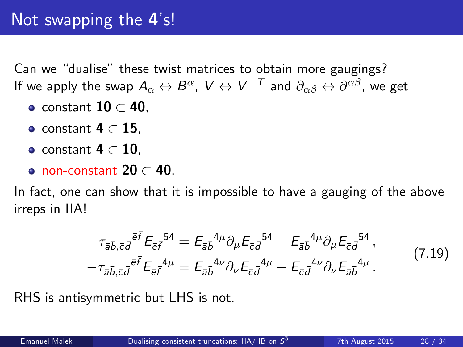Can we "dualise" these twist matrices to obtain more gaugings? If we apply the swap  $A_\alpha \leftrightarrow B^\alpha$ ,  $\mathsf{V} \leftrightarrow \mathsf{V}^{-\mathsf{T}}$  and  $\partial_{\alpha \beta} \leftrightarrow \partial^{\alpha \beta}$ , we get

- $\bullet$  constant  $10 \subset 40$ .
- $\bullet$  constant 4  $\subset$  15.
- constant  $4 \subset 10$ .
- non-constant  $20 \subset 40$ .

In fact, one can show that it is impossible to have a gauging of the above irreps in IIA!

$$
-\tau_{\bar{a}\bar{b},\bar{c}\bar{d}}\bar{e}^{\bar{f}}E_{\bar{e}\bar{f}}{}^{54} = E_{\bar{a}\bar{b}}{}^{4\mu}\partial_{\mu}E_{\bar{c}\bar{d}}{}^{54} - E_{\bar{a}\bar{b}}{}^{4\mu}\partial_{\mu}E_{\bar{c}\bar{d}}{}^{54},
$$

$$
-\tau_{\bar{a}\bar{b},\bar{c}\bar{d}}{}^{\bar{e}\bar{f}}E_{\bar{e}\bar{f}}{}^{4\mu} = E_{\bar{a}\bar{b}}{}^{4\nu}\partial_{\nu}E_{\bar{c}\bar{d}}{}^{4\mu} - E_{\bar{c}\bar{d}}{}^{4\nu}\partial_{\nu}E_{\bar{a}\bar{b}}{}^{4\mu}.
$$
(7.19)

RHS is antisymmetric but LHS is not.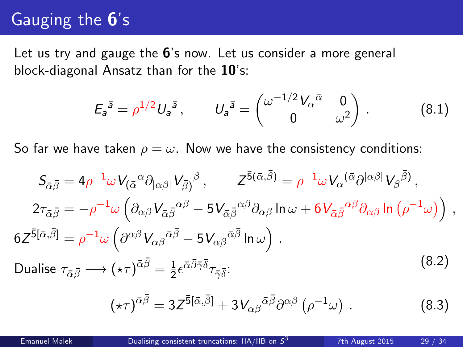### Gauging the 6's

Let us try and gauge the 6's now. Let us consider a more general block-diagonal Ansatz than for the 10's:

$$
E_{a}^{\bar{a}} = \rho^{1/2} U_{a}^{\bar{a}}, \qquad U_{a}^{\bar{a}} = \begin{pmatrix} \omega^{-1/2} V_{\alpha}^{\bar{\alpha}} & 0\\ 0 & \omega^{2} \end{pmatrix} . \tag{8.1}
$$

So far we have taken  $\rho = \omega$ . Now we have the consistency conditions:

$$
S_{\bar{\alpha}\bar{\beta}} = 4\rho^{-1}\omega V_{(\bar{\alpha}}{}^{\alpha}\partial_{|\alpha\beta|}V_{\bar{\beta}}{}^{\beta}, \qquad Z^{\bar{5}(\bar{\alpha},\bar{\beta})} = \rho^{-1}\omega V_{\alpha}{}^{(\bar{\alpha}}\partial^{|\alpha\beta|}V_{\beta}{}^{\bar{\beta}}),
$$
  
\n
$$
2\tau_{\bar{\alpha}\bar{\beta}} = -\rho^{-1}\omega \left(\partial_{\alpha\beta}V_{\bar{\alpha}\bar{\beta}}{}^{\alpha\beta} - 5V_{\bar{\alpha}\bar{\beta}}{}^{\alpha\beta}\partial_{\alpha\beta}\ln\omega + 6V_{\bar{\alpha}\bar{\beta}}{}^{\alpha\beta}\partial_{\alpha\beta}\ln(\rho^{-1}\omega)\right),
$$
  
\n
$$
6Z^{\bar{5}[\bar{\alpha},\bar{\beta}]} = \rho^{-1}\omega \left(\partial^{\alpha\beta}V_{\alpha\beta}{}^{\bar{\alpha}\bar{\beta}} - 5V_{\alpha\beta}{}^{\bar{\alpha}\bar{\beta}}\ln\omega\right).
$$
  
\nDualise  $\tau_{\bar{\alpha}\bar{\beta}} \longrightarrow (\star\tau)^{\bar{\alpha}\bar{\beta}} = \frac{1}{2}\epsilon^{\bar{\alpha}\bar{\beta}\bar{\gamma}\bar{\delta}}\tau_{\bar{\gamma}\bar{\delta}};$  (8.2)

$$
(\star\tau)^{\bar{\alpha}\bar{\beta}} = 3Z^{\bar{5}[\bar{\alpha},\bar{\beta}]} + 3V_{\alpha\beta}{}^{\bar{\alpha}\bar{\beta}}\partial^{\alpha\beta}(\rho^{-1}\omega) . \qquad (8.3)
$$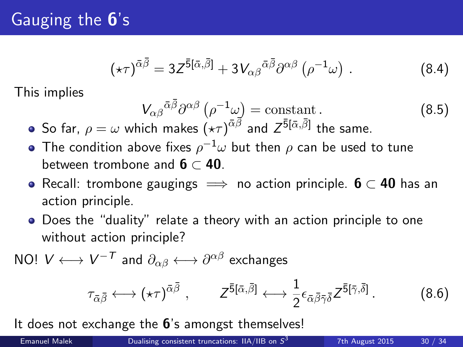# Gauging the 6's

$$
(\star\tau)^{\bar{\alpha}\bar{\beta}} = 3Z^{\bar{5}[\bar{\alpha},\bar{\beta}]} + 3V_{\alpha\beta}{}^{\bar{\alpha}\bar{\beta}}\partial^{\alpha\beta}(\rho^{-1}\omega) . \tag{8.4}
$$

This implies

$$
V_{\alpha\beta}{}^{\bar{\alpha}\bar{\beta}}\partial^{\alpha\beta}\left(\rho^{-1}\omega\right) = \text{constant}.
$$
 (8.5)

- So far,  $\rho=\omega$  which makes  $\dot{(\star\tau)}^{\bar{\alpha}\vec{\beta}}$  and  $Z^{\bar{5}[\bar{\alpha},\bar{\beta}]}$  the same.
- The condition above fixes  $\rho^{-1}\omega$  but then  $\rho$  can be used to tune between trombone and  $6 \subset 40$ .
- Recall: trombone gaugings  $\implies$  no action principle. 6  $\subset$  40 has an action principle.
- Does the "duality" relate a theory with an action principle to one without action principle?

NO!  $V \longleftrightarrow V^{-\mathcal{T}}$  and  $\partial_{\alpha \beta} \longleftrightarrow \partial^{\alpha \beta}$  exchanges

$$
\tau_{\bar{\alpha}\bar{\beta}} \longleftrightarrow (\star\tau)^{\bar{\alpha}\bar{\beta}} , \qquad Z^{\bar{5}[\bar{\alpha},\bar{\beta}]} \longleftrightarrow \frac{1}{2} \epsilon_{\bar{\alpha}\bar{\beta}\bar{\gamma}\bar{\delta}} Z^{\bar{5}[\bar{\gamma},\bar{\delta}]} . \qquad (8.6)
$$

It does not exchange the 6's amongst themselves!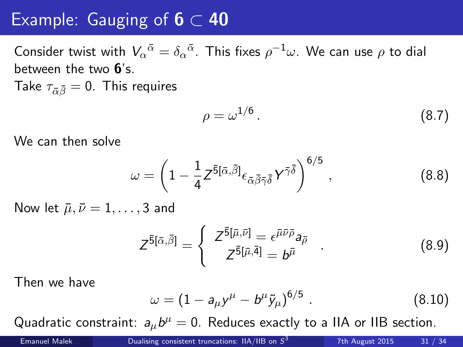#### Example: Gauging of  $6 \subset 40$

Consider twist with  $V_\alpha{}^{\bar\alpha}=\delta_\alpha{}^{\bar\alpha}.$  This fixes  $\rho^{-1}\omega.$  We can use  $\rho$  to dial between the two 6's.

Take  $\tau_{\bar{\alpha}\bar{\beta}}=0$ . This requires

$$
\rho = \omega^{1/6} \,. \tag{8.7}
$$

We can then solve

$$
\omega = \left(1 - \frac{1}{4} Z^{\bar{5}[\bar{\alpha},\bar{\beta}]} \epsilon_{\bar{\alpha}\bar{\beta}\bar{\gamma}\bar{\delta}} Y^{\bar{\gamma}\bar{\delta}} \right)^{6/5}, \qquad (8.8)
$$

Now let  $\bar{\mu}, \bar{\nu} = 1, \ldots, 3$  and

$$
Z^{\bar{5}[\bar{\alpha},\bar{\beta}]} = \begin{cases} Z^{\bar{5}[\bar{\mu},\bar{\nu}]} = \epsilon^{\bar{\mu}\bar{\nu}\bar{\rho}} a_{\bar{\rho}} \\ Z^{\bar{5}[\bar{\mu},\bar{4}]} = b^{\bar{\mu}} \end{cases} . \tag{8.9}
$$

Then we have

$$
\omega = (1 - a_{\mu} y^{\mu} - b^{\mu} \tilde{y}_{\mu})^{6/5} \tag{8.10}
$$

Quadratic constraint:  $a_{\mu}b^{\mu} = 0$ . Reduces exactly to a IIA or IIB section.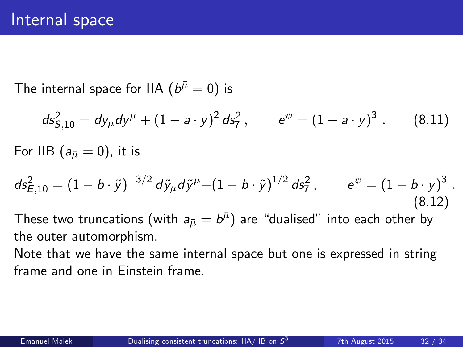The internal space for IIA  $(\mathit{b}^{\bar{\mu}}=0)$  is

$$
ds_{5,10}^2 = dy_\mu dy^\mu + (1 - a \cdot y)^2 \, ds_7^2 \,, \qquad e^{\psi} = (1 - a \cdot y)^3 \,.
$$
 (8.11)

For IIB ( $a_{\bar{\mu}} = 0$ ), it is

$$
ds_{E,10}^2 = (1 - b \cdot \tilde{y})^{-3/2} d\tilde{y}_{\mu} d\tilde{y}^{\mu} + (1 - b \cdot \tilde{y})^{1/2} d\tilde{s}_7^2, \qquad e^{\psi} = (1 - b \cdot y)^3.
$$
\n(8.12)

These two truncations (with  $a_{\bar{\mu}}=b^{\bar{\mu}})$  are "dualised" into each other by the outer automorphism.

Note that we have the same internal space but one is expressed in string frame and one in Einstein frame.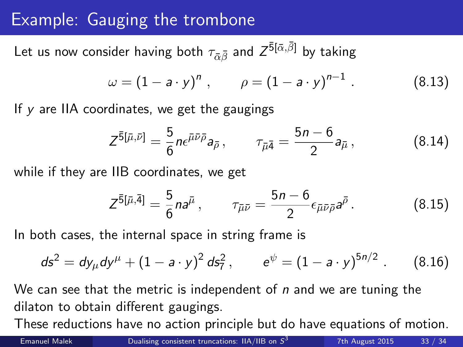### Example: Gauging the trombone

Let us now consider having both  $\tau_{\bar{\alpha}\bar{\beta}}$  and  $Z^{\bar{5}[\bar{\alpha},\bar{\beta}]}$  by taking

$$
\omega = (1 - a \cdot y)^n
$$
,  $\rho = (1 - a \cdot y)^{n-1}$ . (8.13)

If y are IIA coordinates, we get the gaugings

$$
Z^{\bar{5}[\bar{\mu},\bar{\nu}]} = \frac{5}{6} n \epsilon^{\bar{\mu}\bar{\nu}\bar{\rho}} a_{\bar{\rho}}, \qquad \tau_{\bar{\mu}\bar{4}} = \frac{5n-6}{2} a_{\bar{\mu}}, \qquad (8.14)
$$

while if they are IIB coordinates, we get

$$
Z^{\bar{5}[\bar{\mu},\bar{4}]} = \frac{5}{6} n a^{\bar{\mu}}, \qquad \tau_{\bar{\mu}\bar{\nu}} = \frac{5n-6}{2} \epsilon_{\bar{\mu}\bar{\nu}\bar{\rho}} a^{\bar{\rho}}.
$$
 (8.15)

In both cases, the internal space in string frame is

$$
ds^{2} = dy_{\mu} dy^{\mu} + (1 - a \cdot y)^{2} ds_{7}^{2}, \qquad e^{\psi} = (1 - a \cdot y)^{5n/2}. \qquad (8.16)
$$

We can see that the metric is independent of  $n$  and we are tuning the dilaton to obtain different gaugings.

These reductions have no action principle but do have equations of motion.

7th August 2015 33 / 34